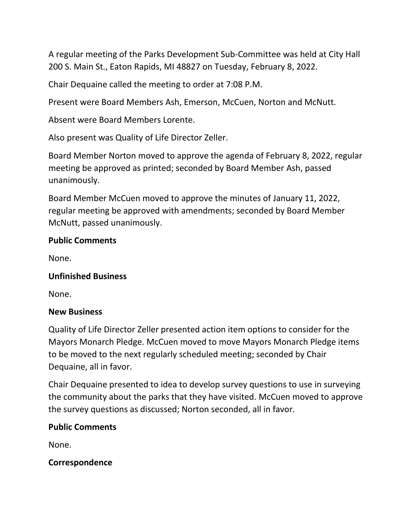A regular meeting of the Parks Development Sub-Committee was held at City Hall 200 S. Main St., Eaton Rapids, MI 48827 on Tuesday, February 8, 2022.

Chair Dequaine called the meeting to order at 7:08 P.M.

Present were Board Members Ash, Emerson, McCuen, Norton and McNutt.

Absent were Board Members Lorente.

Also present was Quality of Life Director Zeller.

Board Member Norton moved to approve the agenda of February 8, 2022, regular meeting be approved as printed; seconded by Board Member Ash, passed unanimously.

Board Member McCuen moved to approve the minutes of January 11, 2022, regular meeting be approved with amendments; seconded by Board Member McNutt, passed unanimously.

## **Public Comments**

None.

## **Unfinished Business**

None.

## **New Business**

Quality of Life Director Zeller presented action item options to consider for the Mayors Monarch Pledge. McCuen moved to move Mayors Monarch Pledge items to be moved to the next regularly scheduled meeting; seconded by Chair Dequaine, all in favor.

Chair Dequaine presented to idea to develop survey questions to use in surveying the community about the parks that they have visited. McCuen moved to approve the survey questions as discussed; Norton seconded, all in favor.

## **Public Comments**

None.

**Correspondence**